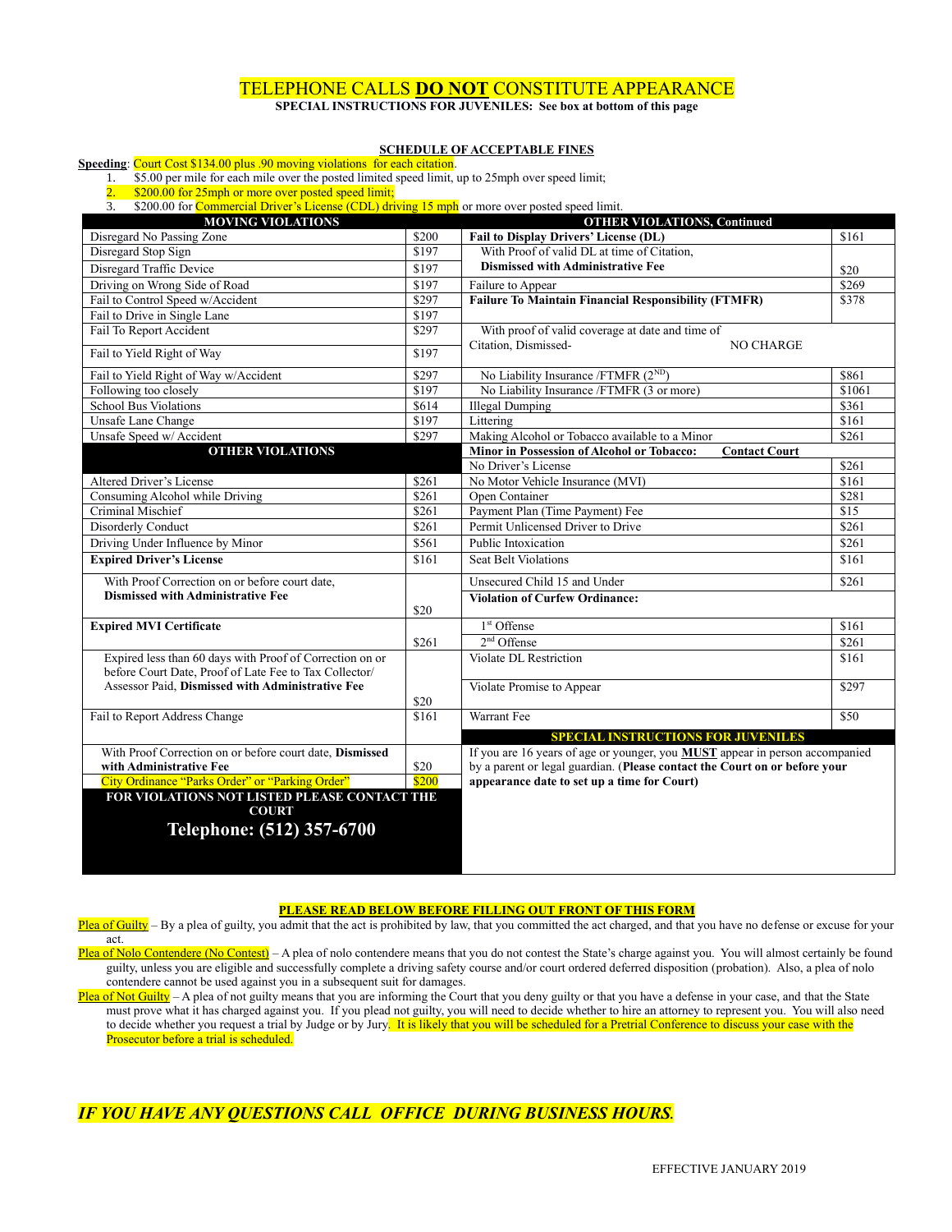### TELEPHONE CALLS **DO NOT** CONSTITUTE APPEARANCE

**SPECIAL INSTRUCTIONS FOR JUVENILES: See box at bottom of this page**

#### **SCHEDULE OF ACCEPTABLE FINES**

#### **Speeding**: Court Cost \$134.00 plus .90 moving violations for each citation.

1. \$5.00 per mile for each mile over the posted limited speed limit, up to 25mph over speed limit;

2. \$200.00 for 25mph or more over posted speed limit;

3. \$200.00 for **Commercial Driver's License (CDL) driving 15 mph** or more over posted speed limit.

| <b>MOVING VIOLATIONS</b>                                 |        | <b>OTHER VIOLATIONS, Continued</b>                                                  |       |
|----------------------------------------------------------|--------|-------------------------------------------------------------------------------------|-------|
| Disregard No Passing Zone                                | \$200  | Fail to Display Drivers' License (DL)                                               | \$161 |
| Disregard Stop Sign                                      | \$197  | With Proof of valid DL at time of Citation.                                         |       |
| Disregard Traffic Device                                 | \$197  | <b>Dismissed with Administrative Fee</b><br>\$20                                    |       |
| Driving on Wrong Side of Road                            | \$197  | \$269<br>Failure to Appear                                                          |       |
| Fail to Control Speed w/Accident                         | \$297  | <b>Failure To Maintain Financial Responsibility (FTMFR)</b><br>\$378                |       |
| Fail to Drive in Single Lane                             | \$197  |                                                                                     |       |
| Fail To Report Accident                                  | \$297  | With proof of valid coverage at date and time of                                    |       |
| Fail to Yield Right of Way                               | \$197  | Citation, Dismissed-<br><b>NO CHARGE</b>                                            |       |
| Fail to Yield Right of Way w/Accident                    | \$297  | No Liability Insurance /FTMFR (2 <sup>ND</sup> )                                    | \$861 |
| Following too closely                                    | \$197  | No Liability Insurance /FTMFR (3 or more)<br>\$1061                                 |       |
| <b>School Bus Violations</b>                             | \$614  | <b>Illegal Dumping</b><br>\$361                                                     |       |
| Unsafe Lane Change                                       | \$197  | \$161<br>Littering                                                                  |       |
| Unsafe Speed w/ Accident                                 | \$297  | Making Alcohol or Tobacco available to a Minor<br>\$261                             |       |
| <b>OTHER VIOLATIONS</b>                                  |        | <b>Minor in Possession of Alcohol or Tobacco:</b><br><b>Contact Court</b>           |       |
|                                                          |        | No Driver's License                                                                 | \$261 |
| Altered Driver's License                                 | \$261  | No Motor Vehicle Insurance (MVI)                                                    | \$161 |
| Consuming Alcohol while Driving                          | \$261  | Open Container                                                                      | \$281 |
| Criminal Mischief                                        | \$261  | Payment Plan (Time Payment) Fee<br>\$15                                             |       |
| Disorderly Conduct                                       | \$261  | Permit Unlicensed Driver to Drive                                                   | \$261 |
| Driving Under Influence by Minor                         | \$561  | Public Intoxication                                                                 | \$261 |
| <b>Expired Driver's License</b>                          | \$161  | Seat Belt Violations                                                                | \$161 |
| With Proof Correction on or before court date.           |        | Unsecured Child 15 and Under                                                        | \$261 |
| <b>Dismissed with Administrative Fee</b>                 | \$20   | <b>Violation of Curfew Ordinance:</b>                                               |       |
| <b>Expired MVI Certificate</b>                           |        | $1st$ Offense                                                                       | \$161 |
|                                                          | \$261  | $2nd$ Offense                                                                       | \$261 |
| Expired less than 60 days with Proof of Correction on or |        | Violate DL Restriction                                                              | \$161 |
| before Court Date. Proof of Late Fee to Tax Collector/   |        |                                                                                     |       |
| Assessor Paid, Dismissed with Administrative Fee         |        | Violate Promise to Appear                                                           | \$297 |
|                                                          | $\$20$ |                                                                                     |       |
| Fail to Report Address Change                            | \$161  | Warrant Fee                                                                         | \$50  |
|                                                          |        | <b>SPECIAL INSTRUCTIONS FOR JUVENILES</b>                                           |       |
| With Proof Correction on or before court date, Dismissed |        | If you are 16 years of age or younger, you <b>MUST</b> appear in person accompanied |       |
| with Administrative Fee                                  | \$20   | by a parent or legal guardian. (Please contact the Court on or before your          |       |
| City Ordinance "Parks Order" or "Parking Order"          | \$200  | appearance date to set up a time for Court)                                         |       |
| FOR VIOLATIONS NOT LISTED PLEASE CONTACT THE             |        |                                                                                     |       |
| <b>COURT</b>                                             |        |                                                                                     |       |
| Telephone: (512) 357-6700                                |        |                                                                                     |       |
|                                                          |        |                                                                                     |       |
|                                                          |        |                                                                                     |       |

### **PLEASE READ BELOW BEFORE FILLING OUT FRONT OF THIS FORM**

Plea of Guilty – By a plea of guilty, you admit that the act is prohibited by law, that you committed the act charged, and that you have no defense or excuse for your act.

Plea of Nolo Contendere (No Contest) – A plea of nolo contendere means that you do not contest the State's charge against you. You will almost certainly be found guilty, unless you are eligible and successfully complete a driving safety course and/or court ordered deferred disposition (probation). Also, a plea of nolo contendere cannot be used against you in a subsequent suit for damages.

Plea of Not Guilty - A plea of not guilty means that you are informing the Court that you deny guilty or that you have a defense in your case, and that the State must prove what it has charged against you. If you plead not guilty, you will need to decide whether to hire an attorney to represent you. You will also need to decide whether you request a trial by Judge or by Jury. It is likely that you will be scheduled for a Pretrial Conference to discuss your case with the Prosecutor before a trial is scheduled.

## *IF YOU HAVE ANY QUESTIONS CALL OFFICE DURING BUSINESS HOURS.*